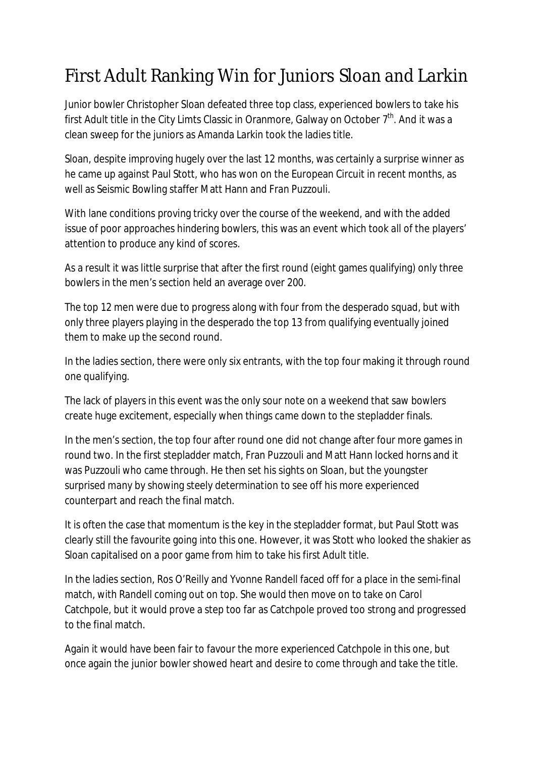## First Adult Ranking Win for Juniors Sloan and Larkin

Junior bowler Christopher Sloan defeated three top class, experienced bowlers to take his first Adult title in the City Limts Classic in Oranmore, Galway on October  $7<sup>th</sup>$ . And it was a clean sweep for the juniors as Amanda Larkin took the ladies title.

Sloan, despite improving hugely over the last 12 months, was certainly a surprise winner as he came up against Paul Stott, who has won on the European Circuit in recent months, as well as Seismic Bowling staffer Matt Hann and Fran Puzzouli.

With lane conditions proving tricky over the course of the weekend, and with the added issue of poor approaches hindering bowlers, this was an event which took all of the players' attention to produce any kind of scores.

As a result it was little surprise that after the first round (eight games qualifying) only three bowlers in the men's section held an average over 200.

The top 12 men were due to progress along with four from the desperado squad, but with only three players playing in the desperado the top 13 from qualifying eventually joined them to make up the second round.

In the ladies section, there were only six entrants, with the top four making it through round one qualifying.

The lack of players in this event was the only sour note on a weekend that saw bowlers create huge excitement, especially when things came down to the stepladder finals.

In the men's section, the top four after round one did not change after four more games in round two. In the first stepladder match, Fran Puzzouli and Matt Hann locked horns and it was Puzzouli who came through. He then set his sights on Sloan, but the youngster surprised many by showing steely determination to see off his more experienced counterpart and reach the final match.

It is often the case that momentum is the key in the stepladder format, but Paul Stott was clearly still the favourite going into this one. However, it was Stott who looked the shakier as Sloan capitalised on a poor game from him to take his first Adult title.

In the ladies section, Ros O'Reilly and Yvonne Randell faced off for a place in the semi-final match, with Randell coming out on top. She would then move on to take on Carol Catchpole, but it would prove a step too far as Catchpole proved too strong and progressed to the final match.

Again it would have been fair to favour the more experienced Catchpole in this one, but once again the junior bowler showed heart and desire to come through and take the title.